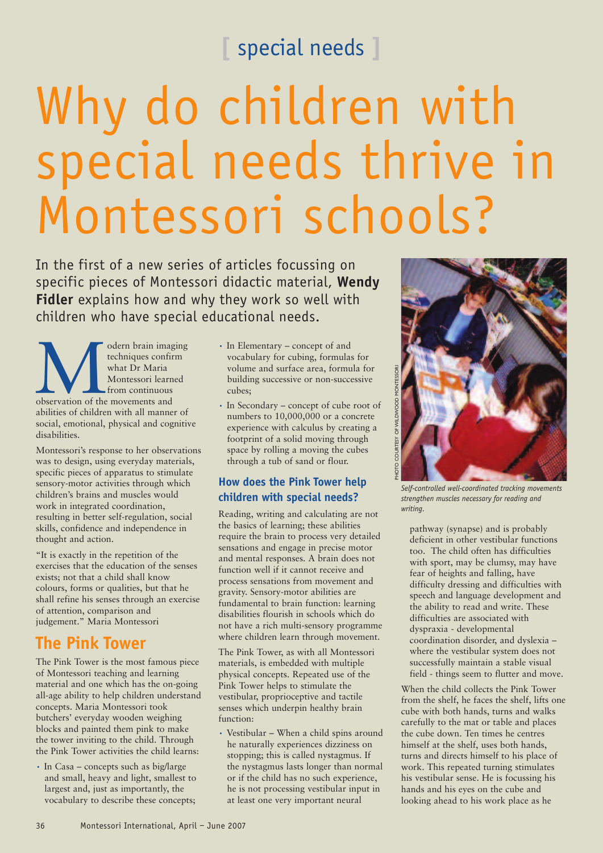# **[** special needs **]**

# Why do children with special needs thrive in Montessori schools?

In the first of a new series of articles focussing on specific pieces of Montessori didactic material, **Wendy Fidler** explains how and why they work so well with children who have special educational needs.

Ordern brain imaging<br>
techniques confirm<br>
techniques confirm<br>
what Dr Maria<br>
Montessori learned<br>
from continuous<br>
observation of the movements and<br>
Montess and<br>  $\frac{1}{2}$ <br>  $\frac{1}{2}$ <br>  $\frac{1}{2}$ <br>  $\frac{1}{2}$ <br>  $\frac{1}{2}$ <br>  $\frac{1}{$ odern brain imaging techniques confirm what Dr Maria Montessori learned from continuous observation of the movements and abilities of children with all manner of social, emotional, physical and cognitive disabilities.

Montessori's response to her observations was to design, using everyday materials, specific pieces of apparatus to stimulate sensory-motor activities through which children's brains and muscles would work in integrated coordination, resulting in better self-regulation, social skills, confidence and independence in thought and action.

"It is exactly in the repetition of the exercises that the education of the senses exists; not that a child shall know colours, forms or qualities, but that he shall refine his senses through an exercise of attention, comparison and judgement." Maria Montessori

## **The Pink Tower**

The Pink Tower is the most famous piece of Montessori teaching and learning material and one which has the on-going all-age ability to help children understand concepts. Maria Montessori took butchers' everyday wooden weighing blocks and painted them pink to make the tower inviting to the child. Through the Pink Tower activities the child learns:

• In Casa – concepts such as big/large and small, heavy and light, smallest to largest and, just as importantly, the vocabulary to describe these concepts;

- In Elementary concept of and vocabulary for cubing, formulas for volume and surface area, formula for building successive or non-successive cubes;
- In Secondary concept of cube root of numbers to 10,000,000 or a concrete experience with calculus by creating a footprint of a solid moving through space by rolling a moving the cubes through a tub of sand or flour.

#### **How does the Pink Tower help children with special needs?**

Reading, writing and calculating are not the basics of learning; these abilities require the brain to process very detailed sensations and engage in precise motor and mental responses. A brain does not function well if it cannot receive and process sensations from movement and gravity. Sensory-motor abilities are fundamental to brain function: learning disabilities flourish in schools which do not have a rich multi-sensory programme where children learn through movement.

The Pink Tower, as with all Montessori materials, is embedded with multiple physical concepts. Repeated use of the Pink Tower helps to stimulate the vestibular, proprioceptive and tactile senses which underpin healthy brain function:

• Vestibular – When a child spins around he naturally experiences dizziness on stopping; this is called nystagmus. If the nystagmus lasts longer than normal or if the child has no such experience, he is not processing vestibular input in at least one very important neural



*Self-controlled well-coordinated tracking movements strengthen muscles necessary for reading and writing.*

pathway (synapse) and is probably deficient in other vestibular functions too. The child often has difficulties with sport, may be clumsy, may have fear of heights and falling, have difficulty dressing and difficulties with speech and language development and the ability to read and write. These difficulties are associated with dyspraxia - developmental coordination disorder, and dyslexia – where the vestibular system does not successfully maintain a stable visual field - things seem to flutter and move.

When the child collects the Pink Tower from the shelf, he faces the shelf, lifts one cube with both hands, turns and walks carefully to the mat or table and places the cube down. Ten times he centres himself at the shelf, uses both hands, turns and directs himself to his place of work. This repeated turning stimulates his vestibular sense. He is focussing his hands and his eyes on the cube and looking ahead to his work place as he